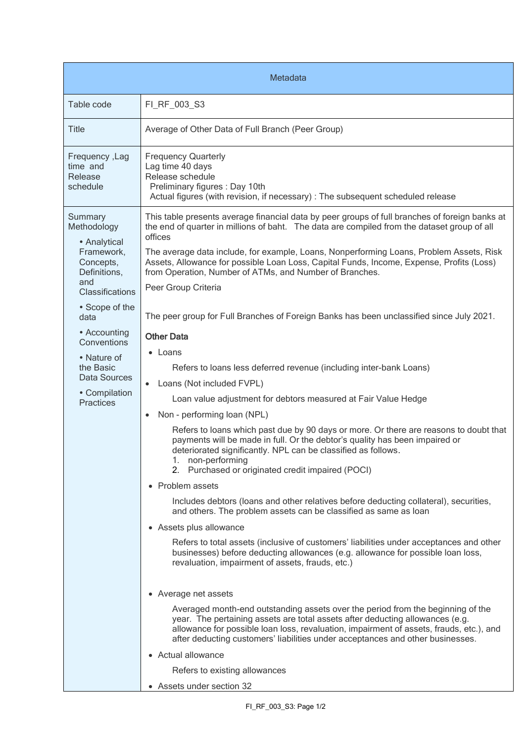| Metadata                                                                          |                                                                                                                                                                                                                                                                                                                                                                                                                                                            |  |
|-----------------------------------------------------------------------------------|------------------------------------------------------------------------------------------------------------------------------------------------------------------------------------------------------------------------------------------------------------------------------------------------------------------------------------------------------------------------------------------------------------------------------------------------------------|--|
| Table code                                                                        | FI RF 003 S3                                                                                                                                                                                                                                                                                                                                                                                                                                               |  |
| <b>Title</b>                                                                      | Average of Other Data of Full Branch (Peer Group)                                                                                                                                                                                                                                                                                                                                                                                                          |  |
| Frequency, Lag<br>time and<br>Release<br>schedule                                 | <b>Frequency Quarterly</b><br>Lag time 40 days<br>Release schedule<br>Preliminary figures : Day 10th<br>Actual figures (with revision, if necessary) : The subsequent scheduled release                                                                                                                                                                                                                                                                    |  |
| Summary<br>Methodology<br>• Analytical<br>Framework,<br>Concepts,<br>Definitions, | This table presents average financial data by peer groups of full branches of foreign banks at<br>the end of quarter in millions of baht. The data are compiled from the dataset group of all<br>offices<br>The average data include, for example, Loans, Nonperforming Loans, Problem Assets, Risk<br>Assets, Allowance for possible Loan Loss, Capital Funds, Income, Expense, Profits (Loss)<br>from Operation, Number of ATMs, and Number of Branches. |  |
| and<br>Classifications                                                            | Peer Group Criteria                                                                                                                                                                                                                                                                                                                                                                                                                                        |  |
| • Scope of the<br>data                                                            | The peer group for Full Branches of Foreign Banks has been unclassified since July 2021.                                                                                                                                                                                                                                                                                                                                                                   |  |
| • Accounting<br>Conventions                                                       | <b>Other Data</b>                                                                                                                                                                                                                                                                                                                                                                                                                                          |  |
| • Nature of<br>the Basic<br>Data Sources                                          | • Loans<br>Refers to loans less deferred revenue (including inter-bank Loans)<br>Loans (Not included FVPL)                                                                                                                                                                                                                                                                                                                                                 |  |
| • Compilation<br><b>Practices</b>                                                 | Loan value adjustment for debtors measured at Fair Value Hedge                                                                                                                                                                                                                                                                                                                                                                                             |  |
|                                                                                   | Non - performing loan (NPL)<br>$\bullet$                                                                                                                                                                                                                                                                                                                                                                                                                   |  |
|                                                                                   | Refers to loans which past due by 90 days or more. Or there are reasons to doubt that<br>payments will be made in full. Or the debtor's quality has been impaired or<br>deteriorated significantly. NPL can be classified as follows.<br>1. non-performing<br>2. Purchased or originated credit impaired (POCI)                                                                                                                                            |  |
|                                                                                   | • Problem assets                                                                                                                                                                                                                                                                                                                                                                                                                                           |  |
|                                                                                   | Includes debtors (loans and other relatives before deducting collateral), securities,<br>and others. The problem assets can be classified as same as loan                                                                                                                                                                                                                                                                                                  |  |
|                                                                                   | • Assets plus allowance                                                                                                                                                                                                                                                                                                                                                                                                                                    |  |
|                                                                                   | Refers to total assets (inclusive of customers' liabilities under acceptances and other<br>businesses) before deducting allowances (e.g. allowance for possible loan loss,<br>revaluation, impairment of assets, frauds, etc.)                                                                                                                                                                                                                             |  |
|                                                                                   | • Average net assets                                                                                                                                                                                                                                                                                                                                                                                                                                       |  |
|                                                                                   | Averaged month-end outstanding assets over the period from the beginning of the<br>year. The pertaining assets are total assets after deducting allowances (e.g.<br>allowance for possible loan loss, revaluation, impairment of assets, frauds, etc.), and<br>after deducting customers' liabilities under acceptances and other businesses.                                                                                                              |  |
|                                                                                   | • Actual allowance                                                                                                                                                                                                                                                                                                                                                                                                                                         |  |
|                                                                                   | Refers to existing allowances                                                                                                                                                                                                                                                                                                                                                                                                                              |  |
|                                                                                   | • Assets under section 32                                                                                                                                                                                                                                                                                                                                                                                                                                  |  |